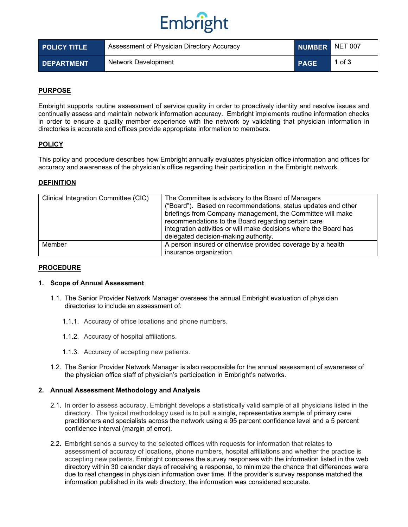# Embright

| <b>POLICY TITLE</b> | Assessment of Physician Directory Accuracy | NUMBER NET 007 |        |
|---------------------|--------------------------------------------|----------------|--------|
| <b>DEPARTMENT</b>   | Network Development                        | <b>PAGE</b>    | 1 of 3 |

## **PURPOSE**

Embright supports routine assessment of service quality in order to proactively identity and resolve issues and continually assess and maintain network information accuracy. Embright implements routine information checks in order to ensure a quality member experience with the network by validating that physician information in directories is accurate and offices provide appropriate information to members.

## **POLICY**

This policy and procedure describes how Embright annually evaluates physician office information and offices for accuracy and awareness of the physician's office regarding their participation in the Embright network.

#### **DEFINITION**

| Clinical Integration Committee (CIC) | The Committee is advisory to the Board of Managers<br>("Board"). Based on recommendations, status updates and other<br>briefings from Company management, the Committee will make<br>recommendations to the Board regarding certain care<br>integration activities or will make decisions where the Board has<br>delegated decision-making authority. |  |
|--------------------------------------|-------------------------------------------------------------------------------------------------------------------------------------------------------------------------------------------------------------------------------------------------------------------------------------------------------------------------------------------------------|--|
| Member                               | A person insured or otherwise provided coverage by a health<br>insurance organization.                                                                                                                                                                                                                                                                |  |

#### **PROCEDURE**

#### **1. Scope of Annual Assessment**

- 1.1. The Senior Provider Network Manager oversees the annual Embright evaluation of physician directories to include an assessment of:
	- 1.1.1. Accuracy of office locations and phone numbers.
	- 1.1.2. Accuracy of hospital affiliations.
	- 1.1.3. Accuracy of accepting new patients.
- 1.2. The Senior Provider Network Manager is also responsible for the annual assessment of awareness of the physician office staff of physician's participation in Embright's networks.

## **2. Annual Assessment Methodology and Analysis**

- 2.1. In order to assess accuracy, Embright develops a statistically valid sample of all physicians listed in the directory. The typical methodology used is to pull a single, representative sample of primary care practitioners and specialists across the network using a 95 percent confidence level and a 5 percent confidence interval (margin of error).
- 2.2. Embright sends a survey to the selected offices with requests for information that relates to assessment of accuracy of locations, phone numbers, hospital affiliations and whether the practice is accepting new patients. Embright compares the survey responses with the information listed in the web directory within 30 calendar days of receiving a response, to minimize the chance that differences were due to real changes in physician information over time. If the provider's survey response matched the information published in its web directory, the information was considered accurate.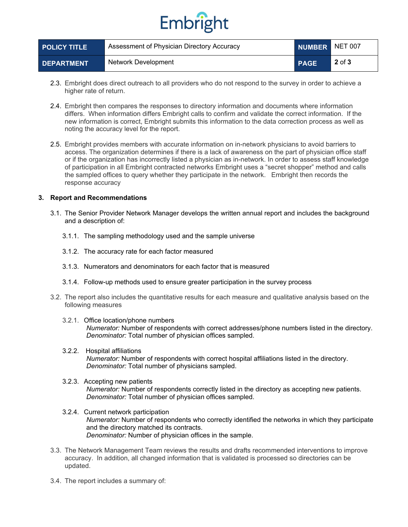# Embright

| <b>POLICY TITLE</b> | Assessment of Physician Directory Accuracy |             | NUMBER NET 007 |
|---------------------|--------------------------------------------|-------------|----------------|
| <b>DEPARTMENT</b>   | Network Development                        | <b>PAGE</b> | $2$ of $3$     |

- 2.3. Embright does direct outreach to all providers who do not respond to the survey in order to achieve a higher rate of return.
- 2.4. Embright then compares the responses to directory information and documents where information differs. When information differs Embright calls to confirm and validate the correct information. If the new information is correct, Embright submits this information to the data correction process as well as noting the accuracy level for the report.
- 2.5. Embright provides members with accurate information on in-network physicians to avoid barriers to access. The organization determines if there is a lack of awareness on the part of physician office staff or if the organization has incorrectly listed a physician as in-network. In order to assess staff knowledge of participation in all Embright contracted networks Embright uses a "secret shopper" method and calls the sampled offices to query whether they participate in the network. Embright then records the response accuracy

## **3. Report and Recommendations**

- 3.1. The Senior Provider Network Manager develops the written annual report and includes the background and a description of:
	- 3.1.1. The sampling methodology used and the sample universe
	- 3.1.2. The accuracy rate for each factor measured
	- 3.1.3. Numerators and denominators for each factor that is measured
	- 3.1.4. Follow-up methods used to ensure greater participation in the survey process
- 3.2. The report also includes the quantitative results for each measure and qualitative analysis based on the following measures
	- 3.2.1. Office location/phone numbers *Numerator:* Number of respondents with correct addresses/phone numbers listed in the directory. *Denominator:* Total number of physician offices sampled.
	- 3.2.2. Hospital affiliations *Numerator:* Number of respondents with correct hospital affiliations listed in the directory. *Denominator:* Total number of physicians sampled.
	- 3.2.3. Accepting new patients *Numerator:* Number of respondents correctly listed in the directory as accepting new patients. *Denominator:* Total number of physician offices sampled.
	- 3.2.4. Current network participation *Numerator:* Number of respondents who correctly identified the networks in which they participate and the directory matched its contracts. *Denominator:* Number of physician offices in the sample.
- 3.3. The Network Management Team reviews the results and drafts recommended interventions to improve accuracy. In addition, all changed information that is validated is processed so directories can be updated.
- 3.4. The report includes a summary of: